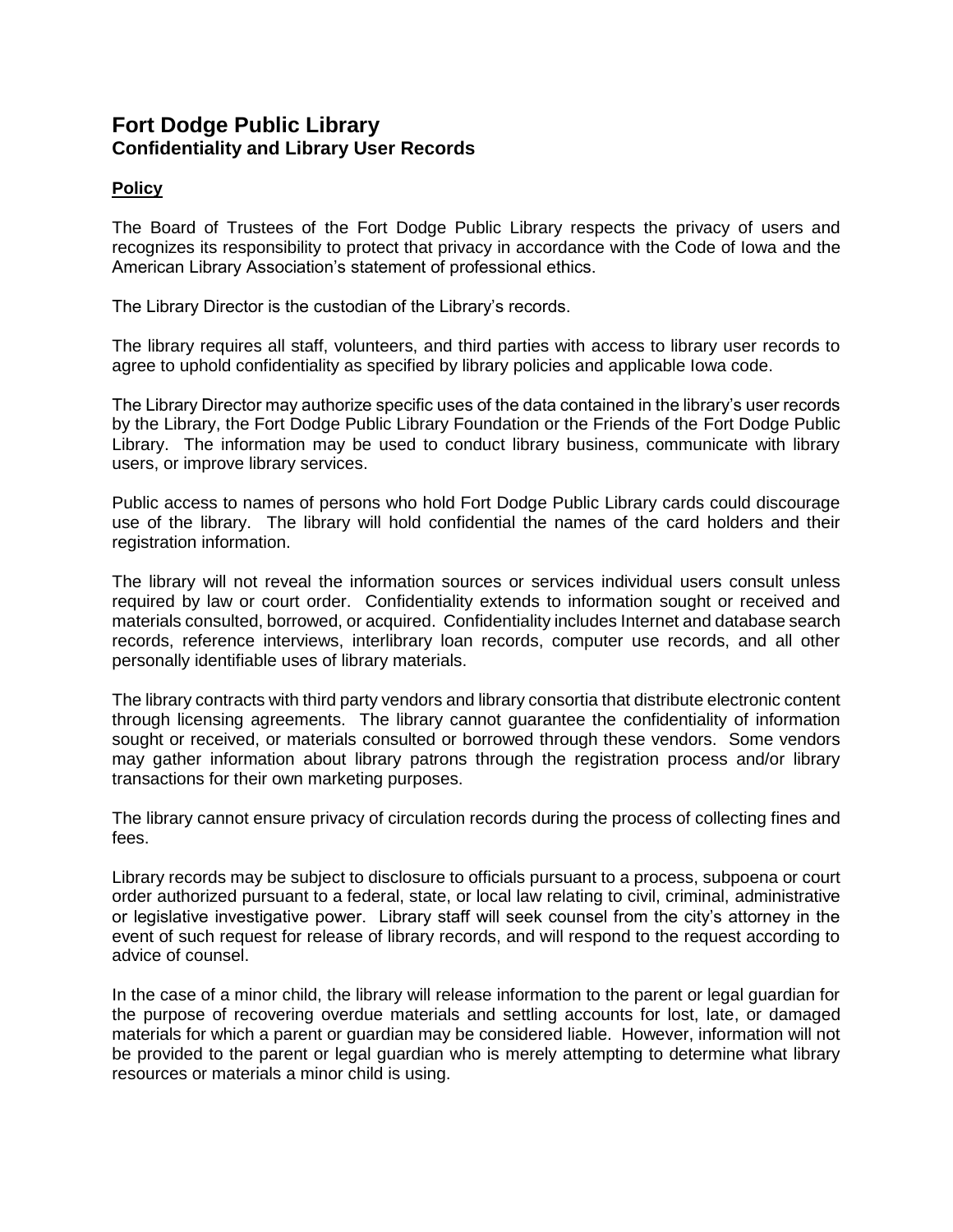## **Fort Dodge Public Library Confidentiality and Library User Records**

## **Policy**

The Board of Trustees of the Fort Dodge Public Library respects the privacy of users and recognizes its responsibility to protect that privacy in accordance with the Code of Iowa and the American Library Association's statement of professional ethics.

The Library Director is the custodian of the Library's records.

The library requires all staff, volunteers, and third parties with access to library user records to agree to uphold confidentiality as specified by library policies and applicable Iowa code.

The Library Director may authorize specific uses of the data contained in the library's user records by the Library, the Fort Dodge Public Library Foundation or the Friends of the Fort Dodge Public Library. The information may be used to conduct library business, communicate with library users, or improve library services.

Public access to names of persons who hold Fort Dodge Public Library cards could discourage use of the library. The library will hold confidential the names of the card holders and their registration information.

The library will not reveal the information sources or services individual users consult unless required by law or court order. Confidentiality extends to information sought or received and materials consulted, borrowed, or acquired. Confidentiality includes Internet and database search records, reference interviews, interlibrary loan records, computer use records, and all other personally identifiable uses of library materials.

The library contracts with third party vendors and library consortia that distribute electronic content through licensing agreements. The library cannot guarantee the confidentiality of information sought or received, or materials consulted or borrowed through these vendors. Some vendors may gather information about library patrons through the registration process and/or library transactions for their own marketing purposes.

The library cannot ensure privacy of circulation records during the process of collecting fines and fees.

Library records may be subject to disclosure to officials pursuant to a process, subpoena or court order authorized pursuant to a federal, state, or local law relating to civil, criminal, administrative or legislative investigative power. Library staff will seek counsel from the city's attorney in the event of such request for release of library records, and will respond to the request according to advice of counsel.

In the case of a minor child, the library will release information to the parent or legal guardian for the purpose of recovering overdue materials and settling accounts for lost, late, or damaged materials for which a parent or guardian may be considered liable. However, information will not be provided to the parent or legal guardian who is merely attempting to determine what library resources or materials a minor child is using.